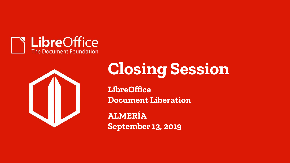



#### **Closing Session**

**LibreOffice Document Liberation**

**ALMERÍA September 13, 2019**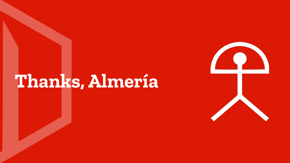### **Thanks, Almería**

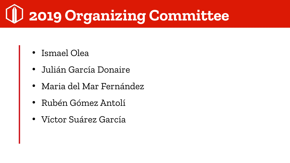# **2019 Organizing Committee**

- Ismael Olea
- Julián García Donaire
- Maria del Mar Fernández
- Rubén Gómez Antolí
- Víctor Suárez García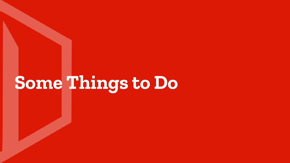## **Some Things to Do**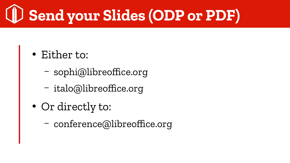## **Send your Slides (ODP or PDF)**

- Either to:
	- sophi@libreoffice.org
	- italo@libreoffice.org
- Or directly to:
	- conference@libreoffice.org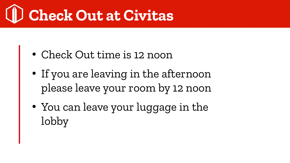

- Check Out time is 12 noon
- If you are leaving in the afternoon please leave your room by 12 noon
- You can leave your luggage in the lobby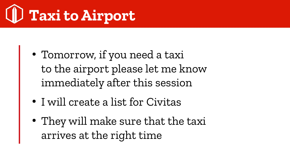

- Tomorrow, if you need a taxi to the airport please let me know immediately after this session
- I will create a list for Civitas
- They will make sure that the taxi arrives at the right time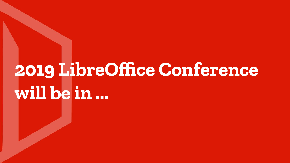## **2019 LibreOffice Conference will be in …**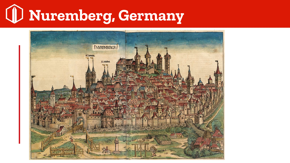# **Nuremberg, Germany**

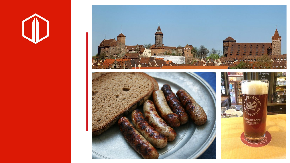





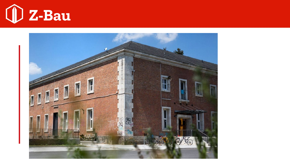

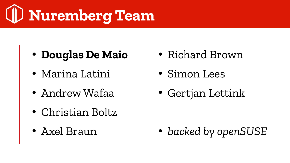

- **Douglas De Maio**
- Marina Latini
- Andrew Wafaa
- Christian Boltz
- Axel Braun
- Richard Brown
- Simon Lees
- Gertjan Lettink

● *backed by openSUSE*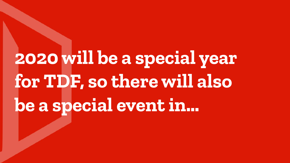# **2020 will be a special year for TDF, so there will also be a special event in…**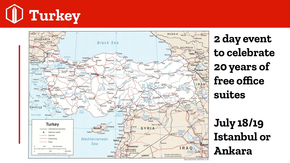



**2 day event to celebrate 20 years of free office suites**

**July 18/19 Istanbul or Ankara**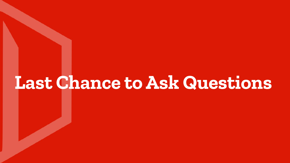### **Last Chance to Ask Questions**